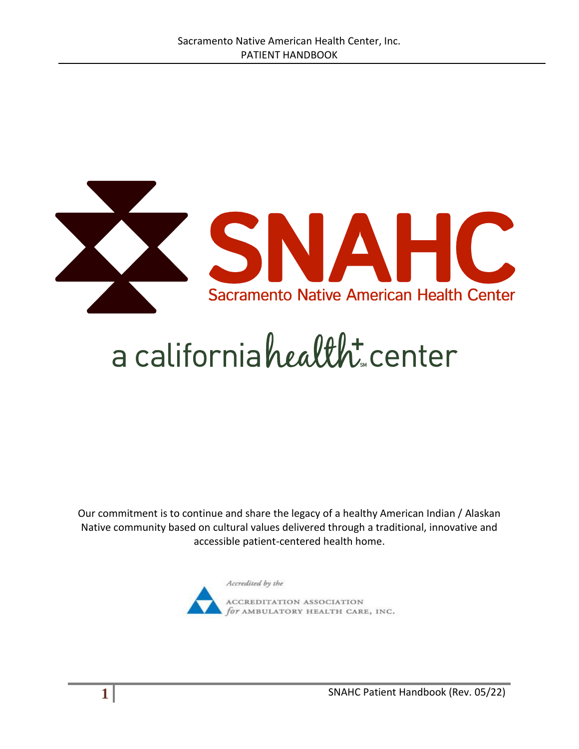

# a californiahealth: center

Our commitment is to continue and share the legacy of a healthy American Indian / Alaskan Native community based on cultural values delivered through a traditional, innovative and accessible patient-centered health home.

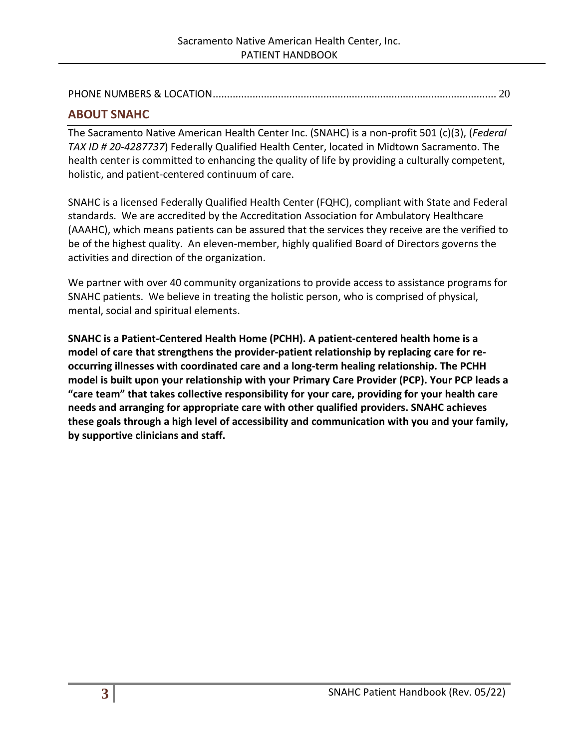PHONE NUMBERS & LOCATION[....................................................................................................](#page-19-0) 20

## <span id="page-2-0"></span>**ABOUT SNAHC**

The Sacramento Native American Health Center Inc. (SNAHC) is a non-profit 501 (c)(3), (*Federal TAX ID # 20-4287737*) Federally Qualified Health Center, located in Midtown Sacramento. The health center is committed to enhancing the quality of life by providing a culturally competent, holistic, and patient-centered continuum of care.

SNAHC is a licensed Federally Qualified Health Center (FQHC), compliant with State and Federal standards. We are accredited by the Accreditation Association for Ambulatory Healthcare (AAAHC), which means patients can be assured that the services they receive are the verified to be of the highest quality. An eleven-member, highly qualified Board of Directors governs the activities and direction of the organization.

We partner with over 40 community organizations to provide access to assistance programs for SNAHC patients. We believe in treating the holistic person, who is comprised of physical, mental, social and spiritual elements.

**SNAHC is a Patient-Centered Health Home (PCHH). A patient-centered health home is a model of care that strengthens the provider-patient relationship by replacing care for reoccurring illnesses with coordinated care and a long-term healing relationship. The PCHH model is built upon your relationship with your Primary Care Provider (PCP). Your PCP leads a "care team" that takes collective responsibility for your care, providing for your health care needs and arranging for appropriate care with other qualified providers. SNAHC achieves these goals through a high level of accessibility and communication with you and your family, by supportive clinicians and staff.**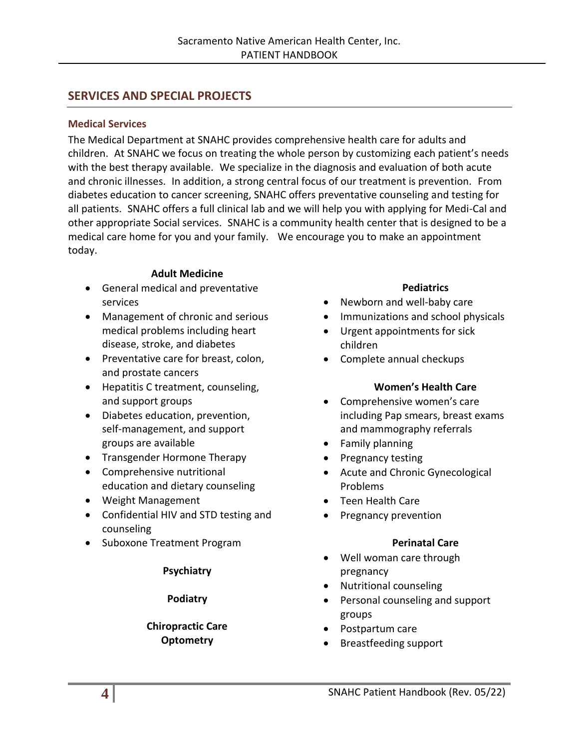## <span id="page-3-0"></span>**SERVICES AND SPECIAL PROJECTS**

#### <span id="page-3-1"></span>**Medical Services**

The Medical Department at SNAHC provides comprehensive health care for adults and children. At SNAHC we focus on treating the whole person by customizing each patient's needs with the best therapy available. We specialize in the diagnosis and evaluation of both acute and chronic illnesses. In addition, a strong central focus of our treatment is prevention. From diabetes education to cancer screening, SNAHC offers preventative counseling and testing for all patients. SNAHC offers a full clinical lab and we will help you with applying for Medi-Cal and other appropriate Social services. SNAHC is a community health center that is designed to be a medical care home for you and your family. We encourage you to make an appointment today.

#### **Adult Medicine**

- General medical and preventative services
- Management of chronic and serious medical problems including heart disease, stroke, and diabetes
- Preventative care for breast, colon, and prostate cancers
- Hepatitis C treatment, counseling, and support groups
- Diabetes education, prevention, self-management, and support groups are available
- Transgender Hormone Therapy
- Comprehensive nutritional education and dietary counseling
- Weight Management
- Confidential HIV and STD testing and counseling
- Suboxone Treatment Program

#### **Psychiatry**

#### **Podiatry**

#### **Chiropractic Care Optometry**

#### **Pediatrics**

- Newborn and well-baby care
- Immunizations and school physicals
- Urgent appointments for sick children
- Complete annual checkups

#### **Women's Health Care**

- Comprehensive women's care including Pap smears, breast exams and mammography referrals
- Family planning
- Pregnancy testing
- Acute and Chronic Gynecological Problems
- Teen Health Care
- Pregnancy prevention

#### **Perinatal Care**

- Well woman care through pregnancy
- Nutritional counseling
- Personal counseling and support groups
- Postpartum care
- Breastfeeding support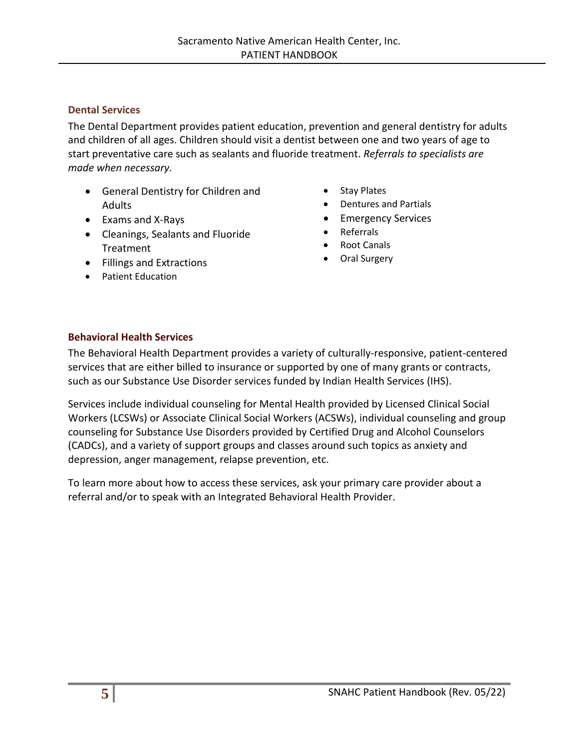#### <span id="page-4-0"></span>**Dental Services**

The Dental Department provides patient education, prevention and general dentistry for adults and children of all ages. Children should visit a dentist between one and two years of age to start preventative care such as sealants and fluoride treatment. *Referrals to specialists are made when necessary.*

- General Dentistry for Children and **Adults**
- Exams and X-Rays
- Cleanings, Sealants and Fluoride Treatment
- Fillings and Extractions
- Patient Education
- Stay Plates
- Dentures and Partials
- Emergency Services
- Referrals
- Root Canals
- Oral Surgery

#### <span id="page-4-1"></span>**Behavioral Health Services**

The Behavioral Health Department provides a variety of culturally-responsive, patient-centered services that are either billed to insurance or supported by one of many grants or contracts, such as our Substance Use Disorder services funded by Indian Health Services (IHS).

Services include individual counseling for Mental Health provided by Licensed Clinical Social Workers (LCSWs) or Associate Clinical Social Workers (ACSWs), individual counseling and group counseling for Substance Use Disorders provided by Certified Drug and Alcohol Counselors (CADCs), and a variety of support groups and classes around such topics as anxiety and depression, anger management, relapse prevention, etc.

To learn more about how to access these services, ask your primary care provider about a referral and/or to speak with an Integrated Behavioral Health Provider.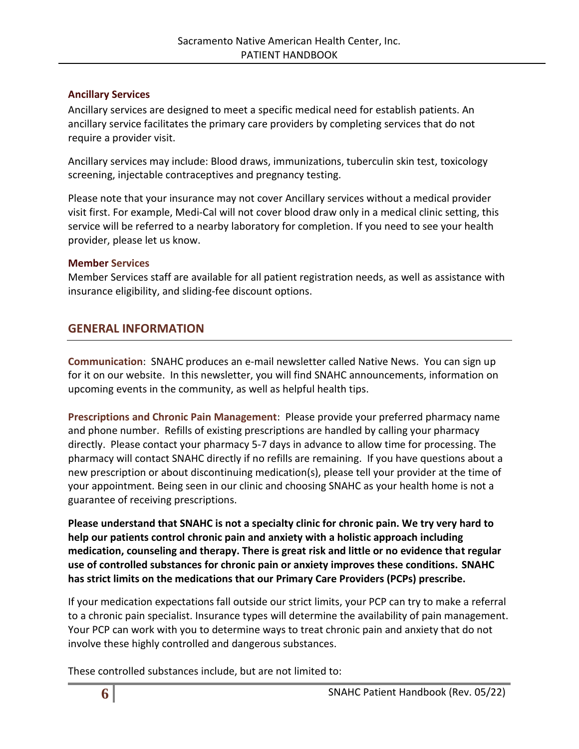#### <span id="page-5-0"></span>**Ancillary Services**

Ancillary services are designed to meet a specific medical need for establish patients. An ancillary service facilitates the primary care providers by completing services that do not require a provider visit.

Ancillary services may include: Blood draws, immunizations, tuberculin skin test, toxicology screening, injectable contraceptives and pregnancy testing.

Please note that your insurance may not cover Ancillary services without a medical provider visit first. For example, Medi-Cal will not cover blood draw only in a medical clinic setting, this service will be referred to a nearby laboratory for completion. If you need to see your health provider, please let us know.

## <span id="page-5-1"></span>**Member Services**

Member Services staff are available for all patient registration needs, as well as assistance with insurance eligibility, and sliding-fee discount options.

# <span id="page-5-2"></span>**GENERAL INFORMATION**

**Communication**: SNAHC produces an e-mail newsletter called Native News. You can sign up for it on our website. In this newsletter, you will find SNAHC announcements, information on upcoming events in the community, as well as helpful health tips.

**Prescriptions and Chronic Pain Management**: Please provide your preferred pharmacy name and phone number. Refills of existing prescriptions are handled by calling your pharmacy directly. Please contact your pharmacy 5-7 days in advance to allow time for processing. The pharmacy will contact SNAHC directly if no refills are remaining. If you have questions about a new prescription or about discontinuing medication(s), please tell your provider at the time of your appointment. Being seen in our clinic and choosing SNAHC as your health home is not a guarantee of receiving prescriptions.

**Please understand that SNAHC is not a specialty clinic for chronic pain. We try very hard to help our patients control chronic pain and anxiety with a holistic approach including medication, counseling and therapy. There is great risk and little or no evidence that regular use of controlled substances for chronic pain or anxiety improves these conditions. SNAHC has strict limits on the medications that our Primary Care Providers (PCPs) prescribe.** 

If your medication expectations fall outside our strict limits, your PCP can try to make a referral to a chronic pain specialist. Insurance types will determine the availability of pain management. Your PCP can work with you to determine ways to treat chronic pain and anxiety that do not involve these highly controlled and dangerous substances.

These controlled substances include, but are not limited to: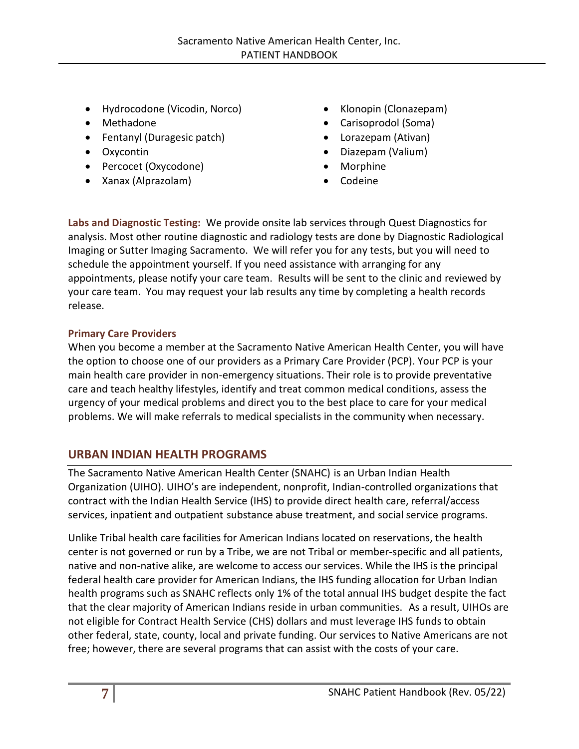- Hydrocodone (Vicodin, Norco)
- Methadone
- Fentanyl (Duragesic patch)
- Oxycontin
- Percocet (Oxycodone)
- Xanax (Alprazolam)
- Klonopin (Clonazepam)
- Carisoprodol (Soma)
- Lorazepam (Ativan)
- Diazepam (Valium)
- Morphine
- Codeine

**Labs and Diagnostic Testing:** We provide onsite lab services through Quest Diagnostics for analysis. Most other routine diagnostic and radiology tests are done by Diagnostic Radiological Imaging or Sutter Imaging Sacramento. We will refer you for any tests, but you will need to schedule the appointment yourself. If you need assistance with arranging for any appointments, please notify your care team. Results will be sent to the clinic and reviewed by your care team. You may request your lab results any time by completing a health records release.

## **Primary Care Providers**

When you become a member at the Sacramento Native American Health Center, you will have the option to choose one of our providers as a Primary Care Provider (PCP). Your PCP is your main health care provider in non-emergency situations. Their role is to provide preventative care and teach healthy lifestyles, identify and treat common medical conditions, assess the urgency of your medical problems and direct you to the best place to care for your medical problems. We will make referrals to medical specialists in the community when necessary.

# <span id="page-6-0"></span>**URBAN INDIAN HEALTH PROGRAMS**

The Sacramento Native American Health Center (SNAHC) is an Urban Indian Health Organization (UIHO). UIHO's are independent, nonprofit, Indian-controlled organizations that contract with the Indian Health Service (IHS) to provide direct health care, referral/access services, inpatient and outpatient substance abuse treatment, and social service programs.

Unlike Tribal health care facilities for American Indians located on reservations, the health center is not governed or run by a Tribe, we are not Tribal or member-specific and all patients, native and non-native alike, are welcome to access our services. While the IHS is the principal federal health care provider for American Indians, the IHS funding allocation for Urban Indian health programs such as SNAHC reflects only 1% of the total annual IHS budget despite the fact that the clear majority of American Indians reside in urban communities. As a result, UIHOs are not eligible for Contract Health Service (CHS) dollars and must leverage IHS funds to obtain other federal, state, county, local and private funding. Our services to Native Americans are not free; however, there are several programs that can assist with the costs of your care.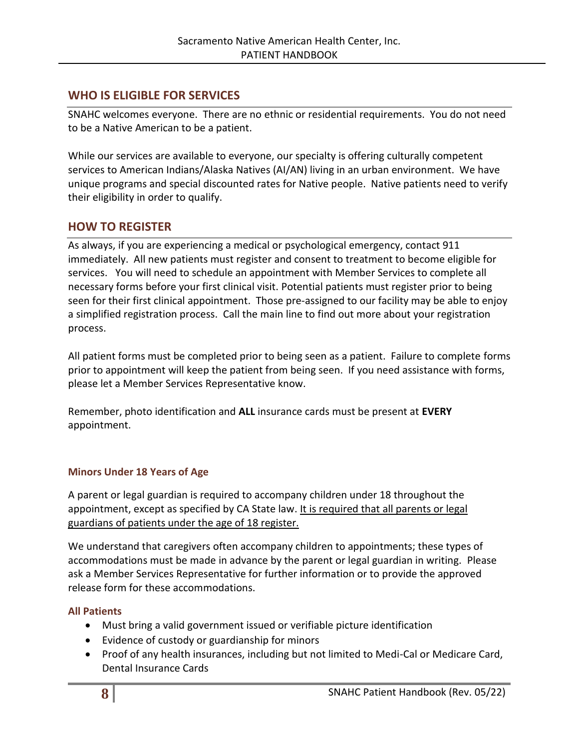# <span id="page-7-0"></span>**WHO IS ELIGIBLE FOR SERVICES**

SNAHC welcomes everyone. There are no ethnic or residential requirements. You do not need to be a Native American to be a patient.

While our services are available to everyone, our specialty is offering culturally competent services to American Indians/Alaska Natives (AI/AN) living in an urban environment. We have unique programs and special discounted rates for Native people. Native patients need to verify their eligibility in order to qualify.

# <span id="page-7-1"></span>**HOW TO REGISTER**

As always, if you are experiencing a medical or psychological emergency, contact 911 immediately. All new patients must register and consent to treatment to become eligible for services. You will need to schedule an appointment with Member Services to complete all necessary forms before your first clinical visit. Potential patients must register prior to being seen for their first clinical appointment. Those pre-assigned to our facility may be able to enjoy a simplified registration process. Call the main line to find out more about your registration process.

All patient forms must be completed prior to being seen as a patient. Failure to complete forms prior to appointment will keep the patient from being seen. If you need assistance with forms, please let a Member Services Representative know.

Remember, photo identification and **ALL** insurance cards must be present at **EVERY** appointment.

## **Minors Under 18 Years of Age**

A parent or legal guardian is required to accompany children under 18 throughout the appointment, except as specified by CA State law. It is required that all parents or legal guardians of patients under the age of 18 register.

We understand that caregivers often accompany children to appointments; these types of accommodations must be made in advance by the parent or legal guardian in writing. Please ask a Member Services Representative for further information or to provide the approved release form for these accommodations.

## <span id="page-7-2"></span>**All Patients**

- Must bring a valid government issued or verifiable picture identification
- Evidence of custody or guardianship for minors
- Proof of any health insurances, including but not limited to Medi-Cal or Medicare Card, Dental Insurance Cards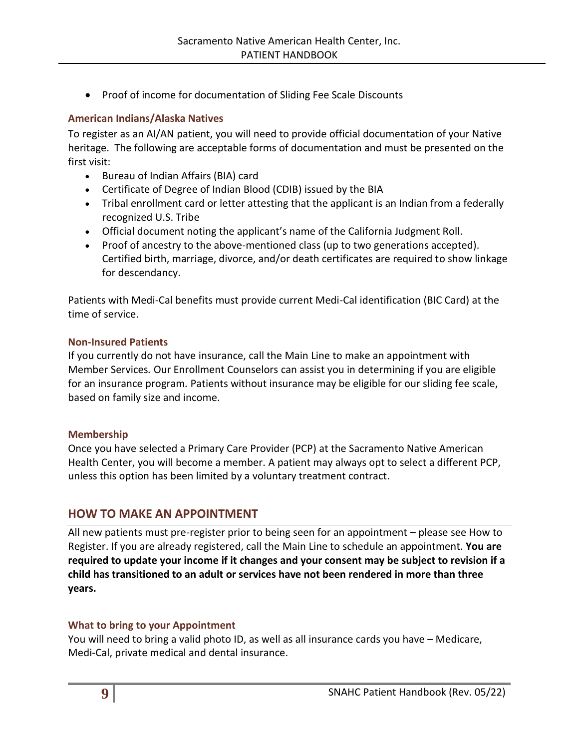• Proof of income for documentation of Sliding Fee Scale Discounts

#### <span id="page-8-0"></span>**American Indians/Alaska Natives**

To register as an AI/AN patient, you will need to provide official documentation of your Native heritage. The following are acceptable forms of documentation and must be presented on the first visit:

- Bureau of Indian Affairs (BIA) card
- Certificate of Degree of Indian Blood (CDIB) issued by the BIA
- Tribal enrollment card or letter attesting that the applicant is an Indian from a federally recognized U.S. Tribe
- Official document noting the applicant's name of the California Judgment Roll.
- Proof of ancestry to the above-mentioned class (up to two generations accepted). Certified birth, marriage, divorce, and/or death certificates are required to show linkage for descendancy.

Patients with Medi-Cal benefits must provide current Medi-Cal identification (BIC Card) at the time of service.

#### <span id="page-8-1"></span>**Non-Insured Patients**

If you currently do not have insurance, call the Main Line to make an appointment with Member Services*.* Our Enrollment Counselors can assist you in determining if you are eligible for an insurance program*.* Patients without insurance may be eligible for our sliding fee scale, based on family size and income.

#### <span id="page-8-2"></span>**Membership**

Once you have selected a Primary Care Provider (PCP) at the Sacramento Native American Health Center, you will become a member. A patient may always opt to select a different PCP, unless this option has been limited by a voluntary treatment contract.

# <span id="page-8-3"></span>**HOW TO MAKE AN APPOINTMENT**

All new patients must pre-register prior to being seen for an appointment – please see How to Register. If you are already registered, call the Main Line to schedule an appointment. **You are required to update your income if it changes and your consent may be subject to revision if a child has transitioned to an adult or services have not been rendered in more than three years.** 

#### <span id="page-8-4"></span>**What to bring to your Appointment**

You will need to bring a valid photo ID, as well as all insurance cards you have – Medicare, Medi-Cal, private medical and dental insurance.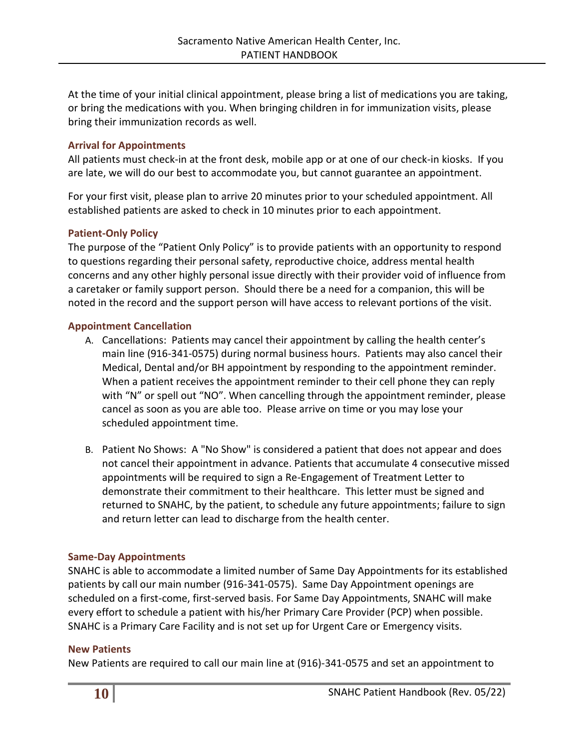At the time of your initial clinical appointment, please bring a list of medications you are taking, or bring the medications with you. When bringing children in for immunization visits, please bring their immunization records as well.

#### <span id="page-9-0"></span>**Arrival for Appointments**

All patients must check-in at the front desk, mobile app or at one of our check-in kiosks. If you are late, we will do our best to accommodate you, but cannot guarantee an appointment.

For your first visit, please plan to arrive 20 minutes prior to your scheduled appointment. All established patients are asked to check in 10 minutes prior to each appointment.

#### **Patient-Only Policy**

The purpose of the "Patient Only Policy" is to provide patients with an opportunity to respond to questions regarding their personal safety, reproductive choice, address mental health concerns and any other highly personal issue directly with their provider void of influence from a caretaker or family support person. Should there be a need for a companion, this will be noted in the record and the support person will have access to relevant portions of the visit.

#### **Appointment Cancellation**

- A. Cancellations: Patients may cancel their appointment by calling the health center's main line (916-341-0575) during normal business hours. Patients may also cancel their Medical, Dental and/or BH appointment by responding to the appointment reminder. When a patient receives the appointment reminder to their cell phone they can reply with "N" or spell out "NO". When cancelling through the appointment reminder, please cancel as soon as you are able too. Please arrive on time or you may lose your scheduled appointment time.
- B. Patient No Shows: A "No Show" is considered a patient that does not appear and does not cancel their appointment in advance. Patients that accumulate 4 consecutive missed appointments will be required to sign a Re-Engagement of Treatment Letter to demonstrate their commitment to their healthcare. This letter must be signed and returned to SNAHC, by the patient, to schedule any future appointments; failure to sign and return letter can lead to discharge from the health center.

#### **Same-Day Appointments**

SNAHC is able to accommodate a limited number of Same Day Appointments for its established patients by call our main number (916-341-0575). Same Day Appointment openings are scheduled on a first-come, first-served basis. For Same Day Appointments, SNAHC will make every effort to schedule a patient with his/her Primary Care Provider (PCP) when possible. SNAHC is a Primary Care Facility and is not set up for Urgent Care or Emergency visits.

#### **New Patients**

New Patients are required to call our main line at (916)-341-0575 and set an appointment to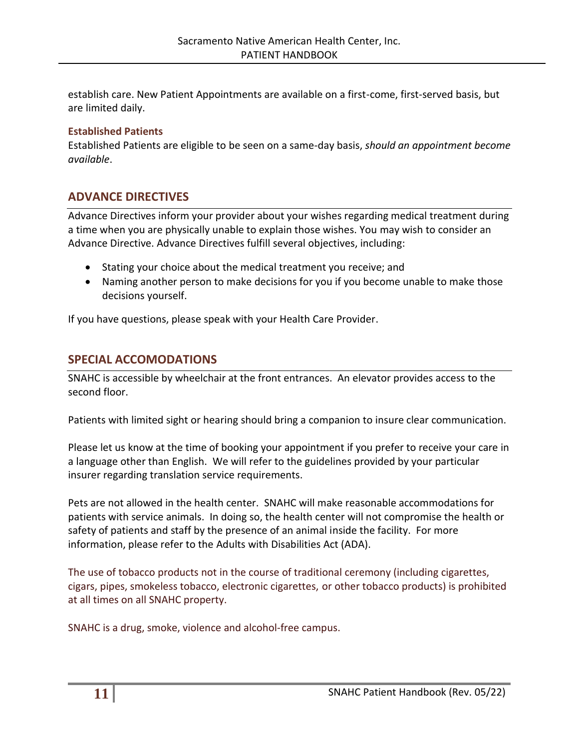establish care. New Patient Appointments are available on a first-come, first-served basis, but are limited daily.

#### **Established Patients**

Established Patients are eligible to be seen on a same-day basis, *should an appointment become available*.

## <span id="page-10-0"></span>**ADVANCE DIRECTIVES**

Advance Directives inform your provider about your wishes regarding medical treatment during a time when you are physically unable to explain those wishes. You may wish to consider an Advance Directive. Advance Directives fulfill several objectives, including:

- Stating your choice about the medical treatment you receive; and
- Naming another person to make decisions for you if you become unable to make those decisions yourself.

If you have questions, please speak with your Health Care Provider.

## <span id="page-10-1"></span>**SPECIAL ACCOMODATIONS**

SNAHC is accessible by wheelchair at the front entrances. An elevator provides access to the second floor.

Patients with limited sight or hearing should bring a companion to insure clear communication.

Please let us know at the time of booking your appointment if you prefer to receive your care in a language other than English. We will refer to the guidelines provided by your particular insurer regarding translation service requirements.

Pets are not allowed in the health center. SNAHC will make reasonable accommodations for patients with service animals. In doing so, the health center will not compromise the health or safety of patients and staff by the presence of an animal inside the facility. For more information, please refer to the Adults with Disabilities Act (ADA).

The use of tobacco products not in the course of traditional ceremony (including cigarettes, cigars, pipes, smokeless tobacco, electronic cigarettes, or other tobacco products) is prohibited at all times on all SNAHC property.

SNAHC is a drug, smoke, violence and alcohol-free campus.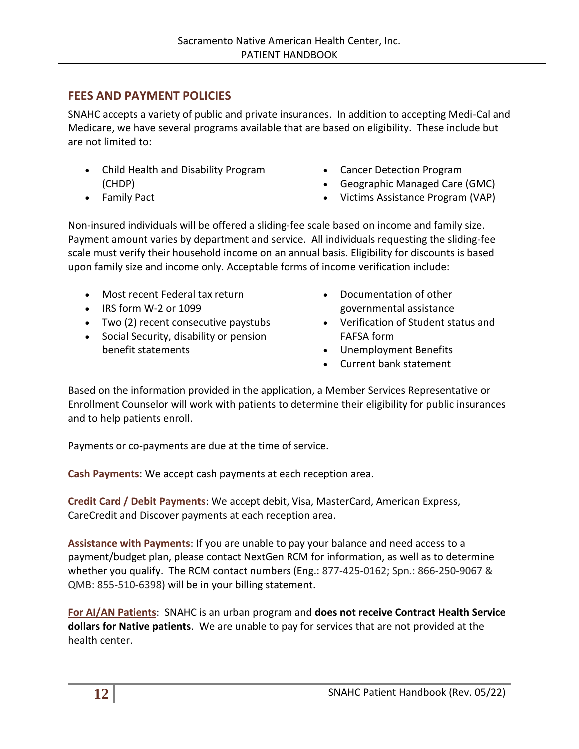# <span id="page-11-0"></span>**FEES AND PAYMENT POLICIES**

SNAHC accepts a variety of public and private insurances. In addition to accepting Medi-Cal and Medicare, we have several programs available that are based on eligibility. These include but are not limited to:

- Child Health and Disability Program (CHDP)
- Family Pact
- Cancer Detection Program
- Geographic Managed Care (GMC)
- Victims Assistance Program (VAP)

Non-insured individuals will be offered a sliding-fee scale based on income and family size. Payment amount varies by department and service. All individuals requesting the sliding-fee scale must verify their household income on an annual basis. Eligibility for discounts is based upon family size and income only. Acceptable forms of income verification include:

- Most recent Federal tax return
- IRS form W-2 or 1099
- Two (2) recent consecutive paystubs
- Social Security, disability or pension benefit statements
- Documentation of other governmental assistance
- Verification of Student status and FAFSA form
- Unemployment Benefits
- Current bank statement

Based on the information provided in the application, a Member Services Representative or Enrollment Counselor will work with patients to determine their eligibility for public insurances and to help patients enroll.

Payments or co-payments are due at the time of service.

**Cash Payments**: We accept cash payments at each reception area.

**Credit Card / Debit Payments**: We accept debit, Visa, MasterCard, American Express, CareCredit and Discover payments at each reception area.

**Assistance with Payments**: If you are unable to pay your balance and need access to a payment/budget plan, please contact NextGen RCM for information, as well as to determine whether you qualify. The RCM contact numbers (Eng.: 877-425-0162; Spn.: 866-250-9067 & QMB: 855-510-6398) will be in your billing statement.

**For AI/AN Patients**: SNAHC is an urban program and **does not receive Contract Health Service dollars for Native patients**. We are unable to pay for services that are not provided at the health center.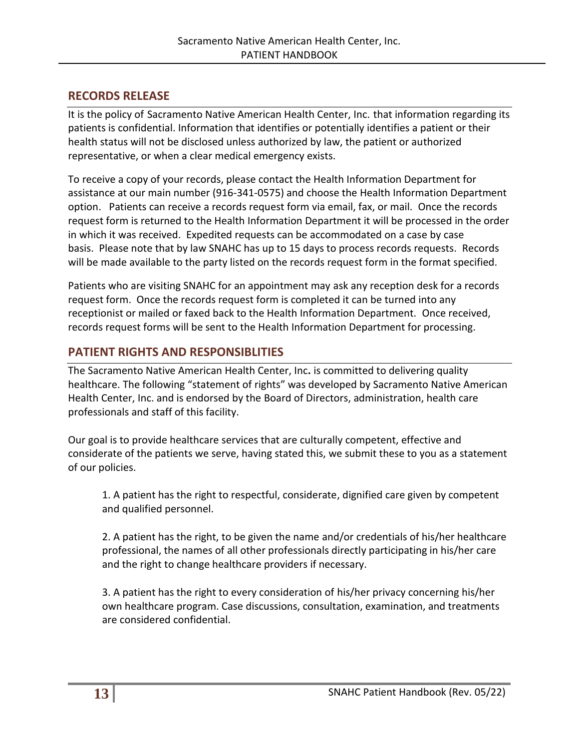# <span id="page-12-0"></span>**RECORDS RELEASE**

It is the policy of Sacramento Native American Health Center, Inc. that information regarding its patients is confidential. Information that identifies or potentially identifies a patient or their health status will not be disclosed unless authorized by law, the patient or authorized representative, or when a clear medical emergency exists.

To receive a copy of your records, please contact the Health Information Department for assistance at our main number (916-341-0575) and choose the Health Information Department option. Patients can receive a records request form via email, fax, or mail. Once the records request form is returned to the Health Information Department it will be processed in the order in which it was received. Expedited requests can be accommodated on a case by case basis. Please note that by law SNAHC has up to 15 days to process records requests. Records will be made available to the party listed on the records request form in the format specified.

Patients who are visiting SNAHC for an appointment may ask any reception desk for a records request form. Once the records request form is completed it can be turned into any receptionist or mailed or faxed back to the Health Information Department. Once received, records request forms will be sent to the Health Information Department for processing.

# <span id="page-12-1"></span>**PATIENT RIGHTS AND RESPONSIBLITIES**

The Sacramento Native American Health Center, Inc**.** is committed to delivering quality healthcare. The following "statement of rights" was developed by Sacramento Native American Health Center, Inc. and is endorsed by the Board of Directors, administration, health care professionals and staff of this facility.

Our goal is to provide healthcare services that are culturally competent, effective and considerate of the patients we serve, having stated this, we submit these to you as a statement of our policies.

1. A patient has the right to respectful, considerate, dignified care given by competent and qualified personnel.

2. A patient has the right, to be given the name and/or credentials of his/her healthcare professional, the names of all other professionals directly participating in his/her care and the right to change healthcare providers if necessary.

3. A patient has the right to every consideration of his/her privacy concerning his/her own healthcare program. Case discussions, consultation, examination, and treatments are considered confidential.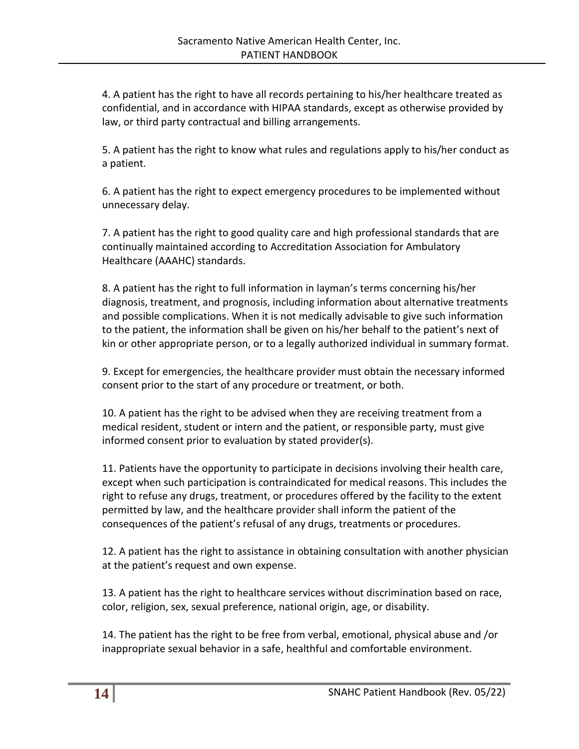4. A patient has the right to have all records pertaining to his/her healthcare treated as confidential, and in accordance with HIPAA standards, except as otherwise provided by law, or third party contractual and billing arrangements.

5. A patient has the right to know what rules and regulations apply to his/her conduct as a patient.

6. A patient has the right to expect emergency procedures to be implemented without unnecessary delay.

7. A patient has the right to good quality care and high professional standards that are continually maintained according to Accreditation Association for Ambulatory Healthcare (AAAHC) standards.

8. A patient has the right to full information in layman's terms concerning his/her diagnosis, treatment, and prognosis, including information about alternative treatments and possible complications. When it is not medically advisable to give such information to the patient, the information shall be given on his/her behalf to the patient's next of kin or other appropriate person, or to a legally authorized individual in summary format.

9. Except for emergencies, the healthcare provider must obtain the necessary informed consent prior to the start of any procedure or treatment, or both.

10. A patient has the right to be advised when they are receiving treatment from a medical resident, student or intern and the patient, or responsible party, must give informed consent prior to evaluation by stated provider(s).

11. Patients have the opportunity to participate in decisions involving their health care, except when such participation is contraindicated for medical reasons. This includes the right to refuse any drugs, treatment, or procedures offered by the facility to the extent permitted by law, and the healthcare provider shall inform the patient of the consequences of the patient's refusal of any drugs, treatments or procedures.

12. A patient has the right to assistance in obtaining consultation with another physician at the patient's request and own expense.

13. A patient has the right to healthcare services without discrimination based on race, color, religion, sex, sexual preference, national origin, age, or disability.

14. The patient has the right to be free from verbal, emotional, physical abuse and /or inappropriate sexual behavior in a safe, healthful and comfortable environment.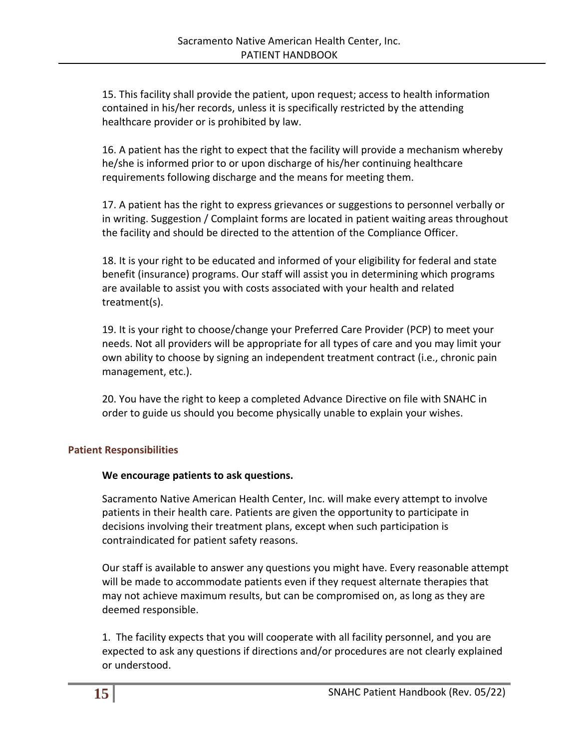15. This facility shall provide the patient, upon request; access to health information contained in his/her records, unless it is specifically restricted by the attending healthcare provider or is prohibited by law.

16. A patient has the right to expect that the facility will provide a mechanism whereby he/she is informed prior to or upon discharge of his/her continuing healthcare requirements following discharge and the means for meeting them.

17. A patient has the right to express grievances or suggestions to personnel verbally or in writing. Suggestion / Complaint forms are located in patient waiting areas throughout the facility and should be directed to the attention of the Compliance Officer.

18. It is your right to be educated and informed of your eligibility for federal and state benefit (insurance) programs. Our staff will assist you in determining which programs are available to assist you with costs associated with your health and related treatment(s).

19. It is your right to choose/change your Preferred Care Provider (PCP) to meet your needs. Not all providers will be appropriate for all types of care and you may limit your own ability to choose by signing an independent treatment contract (i.e., chronic pain management, etc.).

20. You have the right to keep a completed Advance Directive on file with SNAHC in order to guide us should you become physically unable to explain your wishes.

#### <span id="page-14-0"></span>**Patient Responsibilities**

#### **We encourage patients to ask questions.**

Sacramento Native American Health Center, Inc. will make every attempt to involve patients in their health care. Patients are given the opportunity to participate in decisions involving their treatment plans, except when such participation is contraindicated for patient safety reasons.

Our staff is available to answer any questions you might have. Every reasonable attempt will be made to accommodate patients even if they request alternate therapies that may not achieve maximum results, but can be compromised on, as long as they are deemed responsible.

1. The facility expects that you will cooperate with all facility personnel, and you are expected to ask any questions if directions and/or procedures are not clearly explained or understood.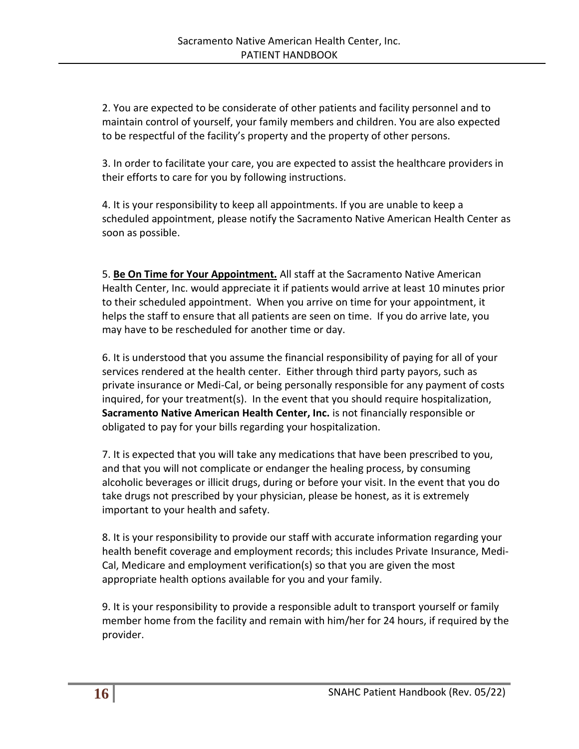2. You are expected to be considerate of other patients and facility personnel and to maintain control of yourself, your family members and children. You are also expected to be respectful of the facility's property and the property of other persons.

3. In order to facilitate your care, you are expected to assist the healthcare providers in their efforts to care for you by following instructions.

4. It is your responsibility to keep all appointments. If you are unable to keep a scheduled appointment, please notify the Sacramento Native American Health Center as soon as possible.

5. **Be On Time for Your Appointment.** All staff at the Sacramento Native American Health Center, Inc. would appreciate it if patients would arrive at least 10 minutes prior to their scheduled appointment. When you arrive on time for your appointment, it helps the staff to ensure that all patients are seen on time. If you do arrive late, you may have to be rescheduled for another time or day.

6. It is understood that you assume the financial responsibility of paying for all of your services rendered at the health center. Either through third party payors, such as private insurance or Medi-Cal, or being personally responsible for any payment of costs inquired, for your treatment(s). In the event that you should require hospitalization, **Sacramento Native American Health Center, Inc.** is not financially responsible or obligated to pay for your bills regarding your hospitalization.

7. It is expected that you will take any medications that have been prescribed to you, and that you will not complicate or endanger the healing process, by consuming alcoholic beverages or illicit drugs, during or before your visit. In the event that you do take drugs not prescribed by your physician, please be honest, as it is extremely important to your health and safety.

8. It is your responsibility to provide our staff with accurate information regarding your health benefit coverage and employment records; this includes Private Insurance, Medi-Cal, Medicare and employment verification(s) so that you are given the most appropriate health options available for you and your family.

9. It is your responsibility to provide a responsible adult to transport yourself or family member home from the facility and remain with him/her for 24 hours, if required by the provider.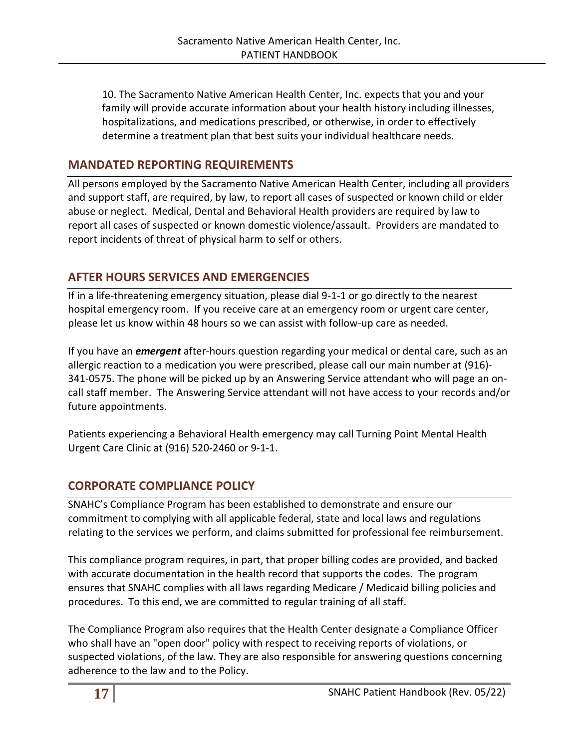10. The Sacramento Native American Health Center, Inc. expects that you and your family will provide accurate information about your health history including illnesses, hospitalizations, and medications prescribed, or otherwise, in order to effectively determine a treatment plan that best suits your individual healthcare needs.

## <span id="page-16-0"></span>**MANDATED REPORTING REQUIREMENTS**

All persons employed by the Sacramento Native American Health Center, including all providers and support staff, are required, by law, to report all cases of suspected or known child or elder abuse or neglect. Medical, Dental and Behavioral Health providers are required by law to report all cases of suspected or known domestic violence/assault. Providers are mandated to report incidents of threat of physical harm to self or others.

# <span id="page-16-1"></span>**AFTER HOURS SERVICES AND EMERGENCIES**

If in a life-threatening emergency situation, please dial 9-1-1 or go directly to the nearest hospital emergency room. If you receive care at an emergency room or urgent care center, please let us know within 48 hours so we can assist with follow-up care as needed.

If you have an *emergent* after-hours question regarding your medical or dental care, such as an allergic reaction to a medication you were prescribed, please call our main number at (916)- 341-0575. The phone will be picked up by an Answering Service attendant who will page an oncall staff member. The Answering Service attendant will not have access to your records and/or future appointments.

Patients experiencing a Behavioral Health emergency may call Turning Point Mental Health Urgent Care Clinic at (916) 520-2460 or 9-1-1.

# <span id="page-16-2"></span>**CORPORATE COMPLIANCE POLICY**

SNAHC's Compliance Program has been established to demonstrate and ensure our commitment to complying with all applicable federal, state and local laws and regulations relating to the services we perform, and claims submitted for professional fee reimbursement.

This compliance program requires, in part, that proper billing codes are provided, and backed with accurate documentation in the health record that supports the codes. The program ensures that SNAHC complies with all laws regarding Medicare / Medicaid billing policies and procedures. To this end, we are committed to regular training of all staff.

The Compliance Program also requires that the Health Center designate a Compliance Officer who shall have an "open door" policy with respect to receiving reports of violations, or suspected violations, of the law. They are also responsible for answering questions concerning adherence to the law and to the Policy.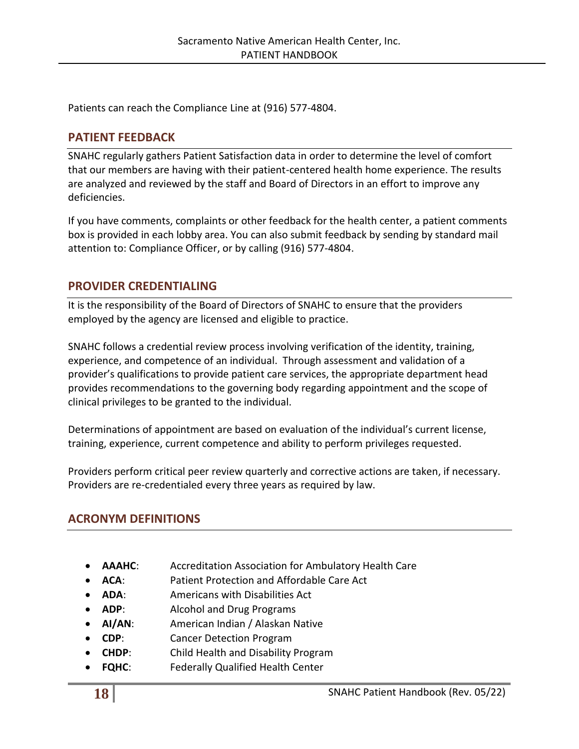Patients can reach the Compliance Line at (916) 577-4804.

## <span id="page-17-0"></span>**PATIENT FEEDBACK**

SNAHC regularly gathers Patient Satisfaction data in order to determine the level of comfort that our members are having with their patient-centered health home experience. The results are analyzed and reviewed by the staff and Board of Directors in an effort to improve any deficiencies.

If you have comments, complaints or other feedback for the health center, a patient comments box is provided in each lobby area. You can also submit feedback by sending by standard mail attention to: Compliance Officer, or by calling (916) 577-4804.

## <span id="page-17-1"></span>**PROVIDER CREDENTIALING**

It is the responsibility of the Board of Directors of SNAHC to ensure that the providers employed by the agency are licensed and eligible to practice.

SNAHC follows a credential review process involving verification of the identity, training, experience, and competence of an individual. Through assessment and validation of a provider's qualifications to provide patient care services, the appropriate department head provides recommendations to the governing body regarding appointment and the scope of clinical privileges to be granted to the individual.

Determinations of appointment are based on evaluation of the individual's current license, training, experience, current competence and ability to perform privileges requested.

Providers perform critical peer review quarterly and corrective actions are taken, if necessary. Providers are re-credentialed every three years as required by law.

# <span id="page-17-2"></span>**ACRONYM DEFINITIONS**

- **AAAHC**: Accreditation Association for Ambulatory Health Care
- **ACA**: Patient Protection and Affordable Care Act
- **ADA**: Americans with Disabilities Act
- **ADP**: Alcohol and Drug Programs
- **AI/AN**: American Indian / Alaskan Native
- **CDP**: Cancer Detection Program
- **CHDP**: Child Health and Disability Program
- **FQHC**: Federally Qualified Health Center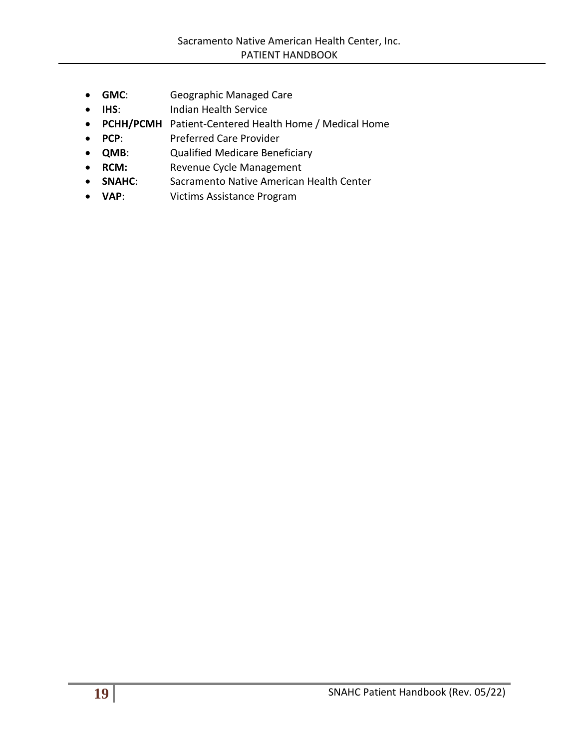- **GMC**: Geographic Managed Care
- **IHS:** Indian Health Service
- **PCHH/PCMH** Patient-Centered Health Home / Medical Home
- **PCP**: Preferred Care Provider
- **QMB**: Qualified Medicare Beneficiary
- **RCM:** Revenue Cycle Management
- **SNAHC**: Sacramento Native American Health Center
- **VAP**: Victims Assistance Program